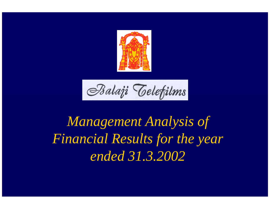

Balaji Telefilms

# *Management Analysis of Financial Results for the year ended 31.3.2002*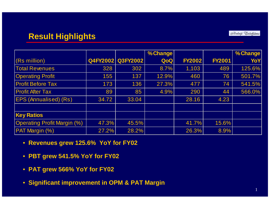#### Balaji *Celefilms*

#### **Result Highlights**

|                                    |       |                   | % Change   |               |               | % Change |
|------------------------------------|-------|-------------------|------------|---------------|---------------|----------|
| (Rs million)                       |       | Q4FY2002 Q3FY2002 | <b>QoQ</b> | <b>FY2002</b> | <b>FY2001</b> | YoY      |
| <b>Total Revenues</b>              | 328   | 302               | 8.7%       | 1,103         | 489           | 125.6%   |
| <b>Operating Profit</b>            | 155   | 137               | 12.9%      | 460           | 76            | 501.7%   |
| <b>Profit Before Tax</b>           | 173   | 136               | 27.3%      | 477           | 74            | 541.5%   |
| <b>Profit After Tax</b>            | 89    | 85                | 4.9%       | 290           | 44            | 566.0%   |
| <b>EPS (Annualised) (Rs)</b>       | 34.72 | 33.04             |            | 28.16         | 4.23          |          |
|                                    |       |                   |            |               |               |          |
| <b>Key Ratios</b>                  |       |                   |            |               |               |          |
| <b>Operating Profit Margin (%)</b> | 47.3% | 45.5%             |            | 41.7%         | 15.6%         |          |
| PAT Margin (%)                     | 27.2% | 28.2%             |            | 26.3%         | 8.9%          |          |

- **Revenues grew 125.6% YoY for FY02**
- **PBT grew 541.5% YoY for FY02**
- **PAT grew 566% YoY for FY02**
- **Significant improvement in OPM & PAT Margin**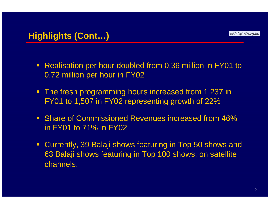- Realisation per hour doubled from 0.36 million in FY01 to 0.72 million per hour in FY02
- $\blacksquare$  The fresh programming hours increased from 1,237 in FY01 to 1,507 in FY02 representing growth of 22%
- **Share of Commissioned Revenues increased from 46%** in FY01 to 71% in FY02
- $\Box$  Currently, 39 Balaji shows featuring in Top 50 shows and 63 Balaji shows featuring in Top 100 shows, on satellite channels.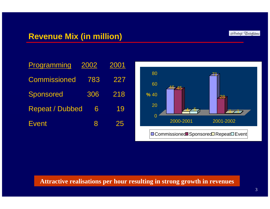

#### **Revenue Mix (in million)**

| Programming            | 2002 | 2001 |
|------------------------|------|------|
| <b>Commissioned</b>    | 783  | 227  |
| <b>Sponsored</b>       | 306  | 218  |
| <b>Repeat / Dubbed</b> | 6    | 19   |
| <b>Event</b>           | 8    | 25   |



**Attractive realisations per hour resulting in strong growth in revenues**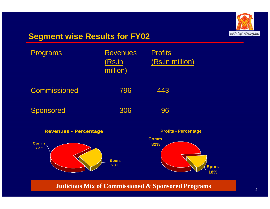

#### **Segment wise Results for FY02**

| <b>Programs</b>                              | <b>Revenues</b><br>(Rs.in<br>million) | <b>Profits</b><br>(Rs.in million)           |              |
|----------------------------------------------|---------------------------------------|---------------------------------------------|--------------|
| <b>Commissioned</b>                          | 796                                   | 443                                         |              |
| Sponsored                                    | 306                                   | 96                                          |              |
| <b>Revenues - Percentage</b><br>Comm.<br>72% | Spon.<br>28%                          | <b>Profits - Percentage</b><br>Comm.<br>82% | Spon.<br>18% |

**Judicious Mix of Commissioned & Sponsored Programs**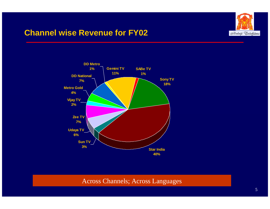#### **Channel wise Revenue for FY02**





#### Across Channels; Across Languages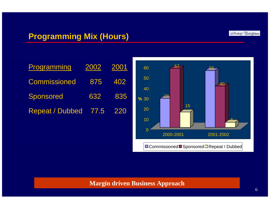Balaji *Celefilms* 

## **Programming Mix (Hours)**

| <b>Programming</b>       | 2002 2001 |         |
|--------------------------|-----------|---------|
| Commissioned 875 402     |           |         |
| Sponsored                |           | 632 835 |
| Repeat / Dubbed 77.5 220 |           |         |



#### **Margin driven Business Approach**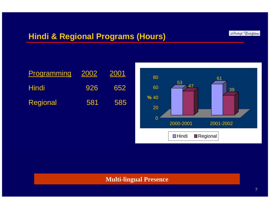#### **Hindi & Regional Programs (Hours)**



| Programming  | 2002 | 2001 |
|--------------|------|------|
| <b>Hindi</b> | 926  | 652  |
| Regional     | 581  | 585  |



#### **Multi-lingual Presence**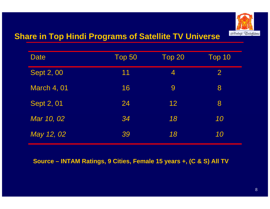

#### **Share in Top Hindi Programs of Satellite TV Universe**

| Date               | <b>Top 50</b> | <b>Top 20</b>  | Top 10         |
|--------------------|---------------|----------------|----------------|
| <b>Sept 2, 00</b>  | 11            | $\overline{4}$ | $\overline{2}$ |
| <b>March 4, 01</b> | 16            | 9              | 8              |
| Sept 2, 01         | 24            | 12             | 8              |
| Mar 10, 02         | 34            | 18             | 10             |
| May 12, 02         | 39            | 18             | 10             |

#### **Source – INTAM Ratings, 9 Cities, Female 15 years +, (C & S) All TV**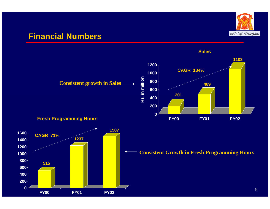

#### **Financial Numbers**

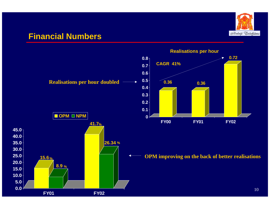

## **Financial Numbers**

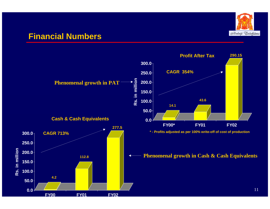

#### **Financial Numbers**

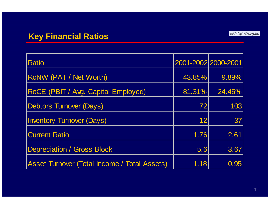#### **Key Financial Ratios**

| <b>Ratio</b>                                 |        | 2001-2002 2000-2001 |
|----------------------------------------------|--------|---------------------|
| RoNW (PAT / Net Worth)                       | 43.85% | 9.89%               |
| RoCE (PBIT / Avg. Capital Employed)          | 81.31% | 24.45%              |
| <b>Debtors Turnover (Days)</b>               | 72     | 103                 |
| <b>Inventory Turnover (Days)</b>             | 12     | 37                  |
| <b>Current Ratio</b>                         | 1.76   | 2.61                |
| <b>Depreciation / Gross Block</b>            | 5.6    | 3.67                |
| Asset Turnover (Total Income / Total Assets) | 1.18   | 0.95                |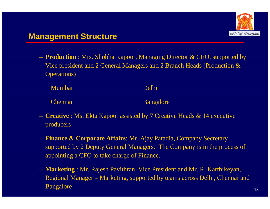

– **Production** : Mrs. Shobha Kapoor, Managing Director & CEO, supported by Vice president and 2 General Managers and 2 Branch Heads (Production & Operations)

Mumbai Delhi Chennai Bangalore

- **Creative** : Ms. Ekta Kapoor assisted by 7 Creative Heads & 14 executive producers
- **Finance & Corporate Affairs**: Mr. Ajay Patadia, Company Secretary supported by 2 Deputy General Managers. The Company is in the process of appointing a CFO to take charge of Finance.
- **Marketing** : Mr. Rajesh Pavithran, Vice President and Mr. R. Karthikeyan, Regional Manager – Marketing, supported by teams across Delhi, Chennai and Bangalore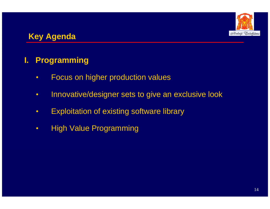

## **Key Agenda**

## **I. Programming**

- •Focus on higher production values
- •Innovative/designer sets to give an exclusive look
- •Exploitation of existing software library
- $\bullet$ High Value Programming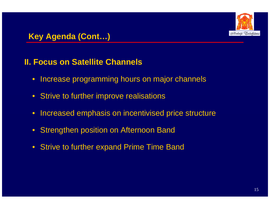

## **Key Agenda (Cont…)**

#### **II. Focus on Satellite Channels**

- $\bullet$ Increase programming hours on major channels
- $\bullet$ Strive to further improve realisations
- $\bullet$ Increased emphasis on incentivised price structure
- $\bullet$ Strengthen position on Afternoon Band
- $\bullet$ Strive to further expand Prime Time Band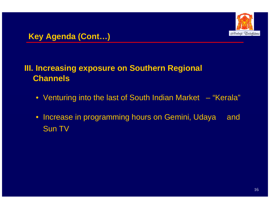

## **III. Increasing exposure on Southern Regional Channels**

- Venturing into the last of South Indian Market "Kerala"
- Increase in programming hours on Gemini, Udaya and Sun TV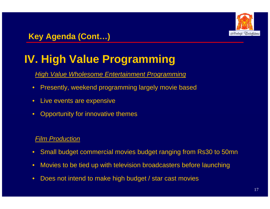

## **Key Agenda (Cont…)**

## **IV. High Value Programming**

*High Value Wholesome Entertainment Programming*

- $\bullet$ Presently, weekend programming largely movie based
- $\bullet$ Live events are expensive
- $\bullet$ Opportunity for innovative themes

#### *Film Production*

- $\bullet$ Small budget commercial movies budget ranging from Rs30 to 50mn
- •Movies to be tied up with television broadcasters before launching
- $\bullet$ Does not intend to make high budget / star cast movies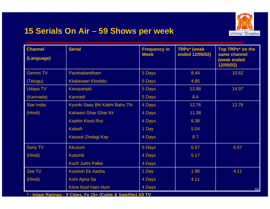# Balaji *Celefilms*

## **15 Serials On Air – 59 Shows per week**

| <b>Channel</b><br>(Language) | <b>Serial</b>                  | <b>Frequency in</b><br><b>Week</b> | <b>TRPs*</b> (week<br>ended 12/05/02) | Top TRPs* on the<br>same channel<br>(week ended<br>12/05/02) |
|------------------------------|--------------------------------|------------------------------------|---------------------------------------|--------------------------------------------------------------|
| <b>Gemini TV</b>             | Pavitrabandham                 | 5 Days                             | 8.44                                  | 10.62                                                        |
| (Telugu)                     | <b>Kkalavaari Kkodalu</b>      | 5 Days                             | 4.85                                  |                                                              |
| <b>Udaya TV</b>              | Kavayanjali                    | 5 Days                             | 12.88                                 | 14.97                                                        |
| (Kannada)                    | Kannadi                        | 5 Days                             | 8.4                                   |                                                              |
| <b>Star India</b>            | Kyunki Saas Bhi Kabhi Bahu Thi | 4 Days                             | 12.76                                 | 12.76                                                        |
| (Hindi)                      | Kahaani Ghar Ghar Kii          | 4 Days                             | 11.38                                 |                                                              |
|                              | Kaahin Kissii Roz              | 4 Days                             | 6.38                                  |                                                              |
|                              | <b>Kalash</b>                  | 1 Day                              | 5.04                                  |                                                              |
|                              | Kasauti Zindagi Kay            | 4 Days                             | 8.7                                   |                                                              |
| Sony TV                      | <b>Kkusum</b>                  | 5 Days                             | 6.57                                  | 6.57                                                         |
| (Hindi)                      | <b>Kutumb</b>                  | 4 Days                             | 5.17                                  |                                                              |
|                              | <b>Kuch Jukhi Palke</b>        | 4 Days                             |                                       |                                                              |
| Zee TV                       | <b>Koshish Ek Aasha</b>        | 1 Day                              | 1.86                                  | 4.11                                                         |
| (Hindi)                      | Kohi Apna Sa                   | 4 Days                             | 4.11                                  |                                                              |
|                              | <b>Kitne Kool Hain Hum</b>     | 4 Days                             |                                       | 18                                                           |

**\* - Intam Ratings : 9 Cities, Fe 15+ (Cable & Satellite) All T V**